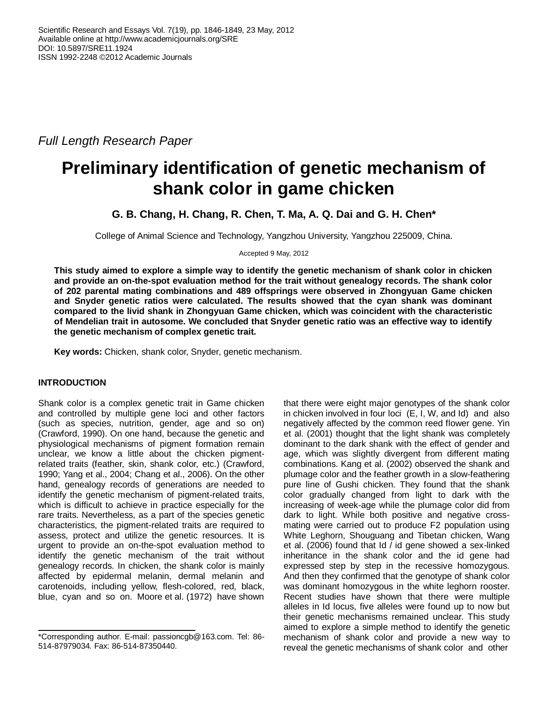*Full Length Research Paper*

# **Preliminary identification of genetic mechanism of shank color in game chicken**

**G. B. Chang, H. Chang, R. Chen, T. Ma, A. Q. Dai and G. H. Chen\***

College of Animal Science and Technology, Yangzhou University, Yangzhou 225009, China.

Accepted 9 May, 2012

**This study aimed to explore a simple way to identify the genetic mechanism of shank color in chicken and provide an on-the-spot evaluation method for the trait without genealogy records. The shank color of 202 parental mating combinations and 489 offsprings were observed in Zhongyuan Game chicken and Snyder genetic ratios were calculated. The results showed that the cyan shank was dominant compared to the livid shank in Zhongyuan Game chicken, which was coincident with the characteristic of Mendelian trait in autosome. We concluded that Snyder genetic ratio was an effective way to identify the genetic mechanism of complex genetic trait.**

**Key words:** Chicken, shank color, Snyder, genetic mechanism.

## **INTRODUCTION**

Shank color is a complex genetic trait in Game chicken and controlled by multiple gene loci and other factors (such as species, nutrition, gender, age and so on) (Crawford, 1990). On one hand, because the genetic and physiological mechanisms of pigment formation remain unclear, we know a little about the chicken pigmentrelated traits (feather, skin, shank color, etc.) (Crawford, 1990; Yang et al., 2004; Chang et al., 2006). On the other hand, genealogy records of generations are needed to identify the genetic mechanism of pigment-related traits, which is difficult to achieve in practice especially for the rare traits. Nevertheless, as a part of the species genetic characteristics, the pigment-related traits are required to assess, protect and utilize the genetic resources. It is urgent to provide an on-the-spot evaluation method to identify the genetic mechanism of the trait without genealogy records. In chicken, the shank color is mainly affected by epidermal melanin, dermal melanin and carotenoids, including yellow, flesh-colored, red, black, blue, cyan and so on. Moore et al. (1972) have shown

that there were eight major genotypes of the shank color in chicken involved in four loci (E, I, W, and Id) and also negatively affected by the common reed flower gene. Yin et al. (2001) thought that the light shank was completely dominant to the dark shank with the effect of gender and age, which was slightly divergent from different mating combinations. Kang et al. (2002) observed the shank and plumage color and the feather growth in a slow-feathering pure line of Gushi chicken. They found that the shank color gradually changed from light to dark with the increasing of week-age while the plumage color did from dark to light. While both positive and negative crossmating were carried out to produce F2 population using White Leghorn, Shouguang and Tibetan chicken, Wang et al. (2006) found that Id / id gene showed a sex-linked inheritance in the shank color and the id gene had expressed step by step in the recessive homozygous. And then they confirmed that the genotype of shank color was dominant homozygous in the white leghorn rooster. Recent studies have shown that there were multiple alleles in Id locus, five alleles were found up to now but their genetic mechanisms remained unclear. This study aimed to explore a simple method to identify the genetic mechanism of shank color and provide a new way to reveal the genetic mechanisms of shank color and other

<sup>\*</sup>Corresponding author. E-mail: passioncgb@163.com. Tel: 86- 514-87979034. Fax: 86-514-87350440.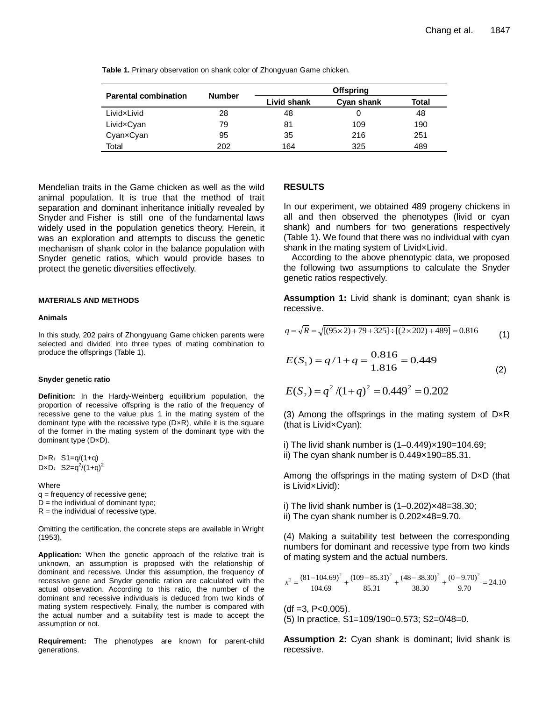| <b>Parental combination</b> | <b>Number</b> | <b>Offspring</b> |            |       |  |  |
|-----------------------------|---------------|------------------|------------|-------|--|--|
|                             |               | Livid shank      | Cyan shank | Total |  |  |
| LividxLivid                 | 28            | 48               |            | 48    |  |  |
| LividxCyan                  | 79            | 81               | 109        | 190   |  |  |
| CyanxCyan                   | 95            | 35               | 216        | 251   |  |  |
| Total                       | 202           | 164              | 325        | 489   |  |  |

**Table 1.** Primary observation on shank color of Zhongyuan Game chicken.

Mendelian traits in the Game chicken as well as the wild animal population. It is true that the method of trait separation and dominant inheritance initially revealed by Snyder and Fisher is still one of the fundamental laws widely used in the population genetics theory. Herein, it was an exploration and attempts to discuss the genetic mechanism of shank color in the balance population with Snyder genetic ratios, which would provide bases to protect the genetic diversities effectively.

#### **MATERIALS AND METHODS**

#### **Animals**

In this study, 202 pairs of Zhongyuang Game chicken parents were selected and divided into three types of mating combination to produce the offsprings (Table 1).

#### **Snyder genetic ratio**

**Definition:** In the Hardy-Weinberg equilibrium population, the proportion of recessive offspring is the ratio of the frequency of recessive gene to the value plus 1 in the mating system of the dominant type with the recessive type (D×R), while it is the square of the former in the mating system of the dominant type with the dominant type (D×D).

 $D \times R$ : S1=q/(1+q) D×D:  $S2=q^2/(1+q)^2$ 

Where q = frequency of recessive gene;  $D =$  the individual of dominant type;  $R =$  the individual of recessive type.

Omitting the certification, the concrete steps are available in Wright (1953).

**Application:** When the genetic approach of the relative trait is unknown, an assumption is proposed with the relationship of dominant and recessive. Under this assumption, the frequency of recessive gene and Snyder genetic ration are calculated with the actual observation. According to this ratio, the number of the dominant and recessive individuals is deduced from two kinds of mating system respectively. Finally, the number is compared with the actual number and a suitability test is made to accept the assumption or not.

**Requirement:** The phenotypes are known for parent-child generations.

#### **RESULTS**

In our experiment, we obtained 489 progeny chickens in all and then observed the phenotypes (livid or cyan shank) and numbers for two generations respectively (Table 1). We found that there was no individual with cyan shank in the mating system of Livid×Livid.

According to the above phenotypic data, we proposed the following two assumptions to calculate the Snyder genetic ratios respectively.

**Assumption 1:** Livid shank is dominant; cyan shank is recessive.

$$
q = \sqrt{R} = \sqrt{[(95 \times 2) + 79 + 325] \div [(2 \times 202) + 489]} = 0.816
$$
 (1)

$$
E(S_1) = q/1 + q = \frac{0.816}{1.816} = 0.449
$$
 (2)

$$
E(S_2) = q^2 / (1 + q)^2 = 0.449^2 = 0.202
$$

(3) Among the offsprings in the mating system of  $D \times R$ (that is Livid×Cyan):

i) The livid shank number is (1–0.449)×190=104.69; ii) The cyan shank number is 0.449×190=85.31.

Among the offsprings in the mating system of D×D (that is Livid×Livid):

- i) The livid shank number is  $(1-0.202) \times 48 = 38.30$ ;
- ii) The cyan shank number is 0.202×48=9.70.

(4) Making a suitability test between the corresponding numbers for dominant and recessive type from two kinds of mating system and the actual numbers.

$$
x^{2} = \frac{(81 - 104.69)^{2}}{104.69} + \frac{(109 - 85.31)^{2}}{85.31} + \frac{(48 - 38.30)^{2}}{38.30} + \frac{(0 - 9.70)^{2}}{9.70} = 24.10
$$

 $(df = 3, P < 0.005)$ .

(5) In practice, S1=109/190=0.573; S2=0/48=0.

**Assumption 2:** Cyan shank is dominant; livid shank is recessive.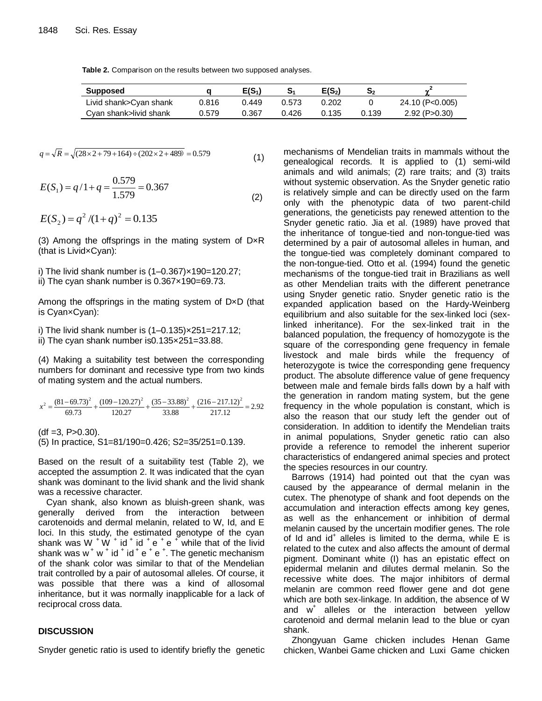**Table 2.** Comparison on the results between two supposed analyses.

| Supposed               |       | E(S1) |       | $E(S_2)$ | $\mathbf{S_{2}}$ |                     |
|------------------------|-------|-------|-------|----------|------------------|---------------------|
| Livid shank>Cyan shank | 0.816 | 0.449 | 0.573 | 0.202    |                  | 24.10 (P<0.005)     |
| Cyan shank>livid shank | 0.579 | 0.367 | 0.426 | 0.135    | 0.139            | $2.92$ (P $>0.30$ ) |

$$
q = \sqrt{R} = \sqrt{(28 \times 2 + 79 + 164) \div (202 \times 2 + 489)} = 0.579
$$
\n(1)

$$
E(S_1) = q/1 + q = \frac{0.579}{1.579} = 0.367
$$
\n(2)

$$
E(S_2) = q^2 / (1 + q)^2 = 0.135
$$

(3) Among the offsprings in the mating system of D×R (that is Livid×Cyan):

i) The livid shank number is (1–0.367)×190=120.27; ii) The cyan shank number is 0.367×190=69.73.

Among the offsprings in the mating system of D×D (that is Cyan×Cyan):

i) The livid shank number is  $(1-0.135) \times 251 = 217.12$ ; ii) The cyan shank number is0.135×251=33.88.

(4) Making a suitability test between the corresponding numbers for dominant and recessive type from two kinds of mating system and the actual numbers.

$$
x^{2} = \frac{(81 - 69.73)^{2}}{69.73} + \frac{(109 - 120.27)^{2}}{120.27} + \frac{(35 - 33.88)^{2}}{33.88} + \frac{(216 - 217.12)^{2}}{217.12} = 2.92
$$

 $(df = 3, P > 0.30).$ (5) In practice, S1=81/190=0.426; S2=35/251=0.139.

Based on the result of a suitability test (Table 2), we accepted the assumption 2. It was indicated that the cyan shank was dominant to the livid shank and the livid shank was a recessive character.

Cyan shank, also known as bluish-green shank, was generally derived from the interaction between carotenoids and dermal melanin, related to W, Id, and E loci. In this study, the estimated genotype of the cyan shank was W  $^+$  W  $^+$  id  $^+$  id  $^+$  e  $^+$  while that of the livid shank was  $w^+ w^+$  id  $^+$  id  $^+$  e  $^+$  e  $^+$ . The genetic mechanism of the shank color was similar to that of the Mendelian trait controlled by a pair of autosomal alleles. Of course, it was possible that there was a kind of allosomal inheritance, but it was normally inapplicable for a lack of reciprocal cross data.

## **DISCUSSION**

Snyder genetic ratio is used to identify briefly the genetic

mechanisms of Mendelian traits in mammals without the genealogical records. It is applied to (1) semi-wild animals and wild animals; (2) rare traits; and (3) traits without systemic observation. As the Snyder genetic ratio is relatively simple and can be directly used on the farm only with the phenotypic data of two parent-child generations, the geneticists pay renewed attention to the Snyder genetic ratio. Jia et al. (1989) have proved that the inheritance of tongue-tied and non-tongue-tied was determined by a pair of autosomal alleles in human, and the tongue-tied was completely dominant compared to the non-tongue-tied. Otto et al. (1994) found the genetic mechanisms of the tongue-tied trait in Brazilians as well as other Mendelian traits with the different penetrance using Snyder genetic ratio. Snyder genetic ratio is the expanded application based on the Hardy-Weinberg equilibrium and also suitable for the sex-linked loci (sexlinked inheritance). For the sex-linked trait in the balanced population, the frequency of homozygote is the square of the corresponding gene frequency in female livestock and male birds while the frequency of heterozygote is twice the corresponding gene frequency product. The absolute difference value of gene frequency between male and female birds falls down by a half with the generation in random mating system, but the gene frequency in the whole population is constant, which is also the reason that our study left the gender out of consideration. In addition to identify the Mendelian traits in animal populations, Snyder genetic ratio can also provide a reference to remodel the inherent superior characteristics of endangered animal species and protect the species resources in our country.

Barrows (1914) had pointed out that the cyan was caused by the appearance of dermal melanin in the cutex. The phenotype of shank and foot depends on the accumulation and interaction effects among key genes, as well as the enhancement or inhibition of dermal melanin caused by the uncertain modifier genes. The role of Id and id<sup>+</sup> alleles is limited to the derma, while E is related to the cutex and also affects the amount of dermal pigment. Dominant white (I) has an epistatic effect on epidermal melanin and dilutes dermal melanin. So the recessive white does. The major inhibitors of dermal melanin are common reed flower gene and dot gene which are both sex-linkage. In addition, the absence of W and w<sup>+</sup> alleles or the interaction between yellow carotenoid and dermal melanin lead to the blue or cyan shank.

Zhongyuan Game chicken includes Henan Game chicken, Wanbei Game chicken and Luxi Game chicken